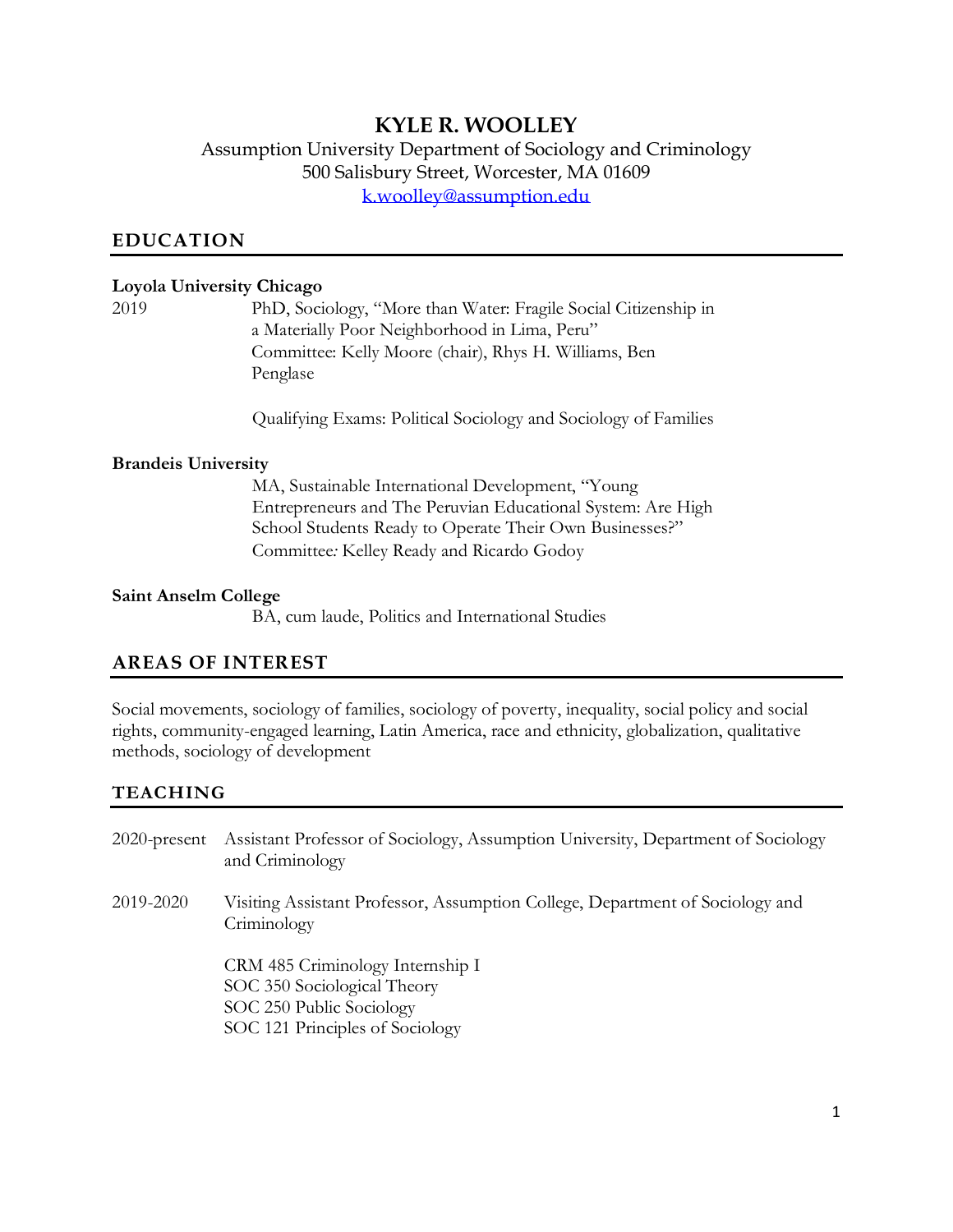# **KYLE R. WOOLLEY**

Assumption University Department of Sociology and Criminology 500 Salisbury Street, Worcester, MA 01609 [k.woolley@assumption.edu](mailto:k.woolley@assumption.edu)

#### **EDUCATION**

#### **Loyola University Chicago**

2019 PhD, Sociology, "More than Water: Fragile Social Citizenship in a Materially Poor Neighborhood in Lima, Peru" Committee: Kelly Moore (chair), Rhys H. Williams, Ben Penglase

Qualifying Exams: Political Sociology and Sociology of Families

#### **Brandeis University**

MA, Sustainable International Development, "Young Entrepreneurs and The Peruvian Educational System: Are High School Students Ready to Operate Their Own Businesses?" Committee*:* Kelley Ready and Ricardo Godoy

#### **Saint Anselm College**

BA, cum laude, Politics and International Studies

### **AREAS OF INTEREST**

Social movements, sociology of families, sociology of poverty, inequality, social policy and social rights, community-engaged learning, Latin America, race and ethnicity, globalization, qualitative methods, sociology of development

#### **TEACHING**

- 2020-present Assistant Professor of Sociology, Assumption University, Department of Sociology and Criminology
- 2019-2020 Visiting Assistant Professor, Assumption College, Department of Sociology and Criminology

CRM 485 Criminology Internship I SOC 350 Sociological Theory SOC 250 Public Sociology SOC 121 Principles of Sociology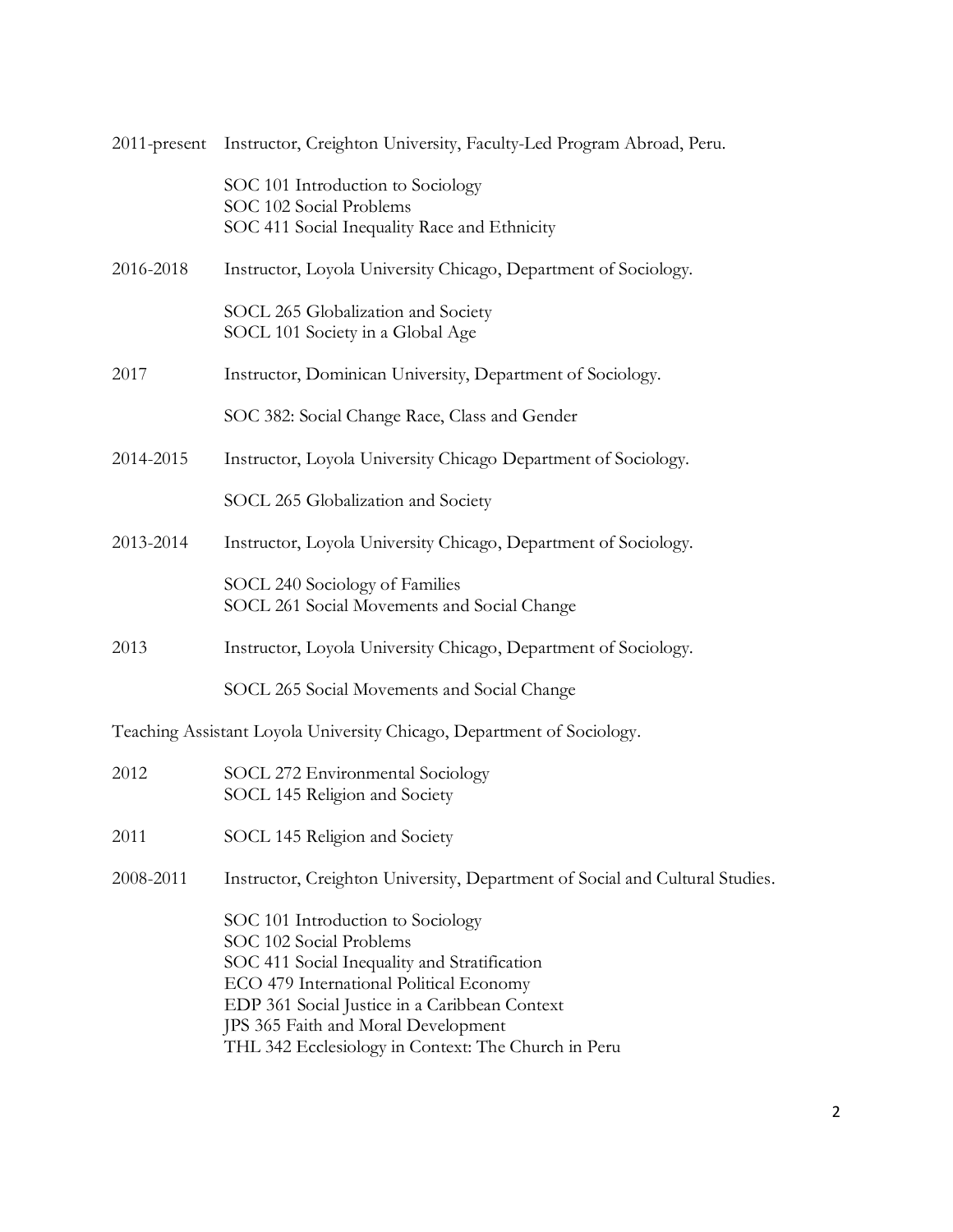|           | 2011-present Instructor, Creighton University, Faculty-Led Program Abroad, Peru.                                                                                                                                                                                                                       |
|-----------|--------------------------------------------------------------------------------------------------------------------------------------------------------------------------------------------------------------------------------------------------------------------------------------------------------|
|           | SOC 101 Introduction to Sociology<br>SOC 102 Social Problems<br>SOC 411 Social Inequality Race and Ethnicity                                                                                                                                                                                           |
| 2016-2018 | Instructor, Loyola University Chicago, Department of Sociology.                                                                                                                                                                                                                                        |
|           | SOCL 265 Globalization and Society<br>SOCL 101 Society in a Global Age                                                                                                                                                                                                                                 |
| 2017      | Instructor, Dominican University, Department of Sociology.                                                                                                                                                                                                                                             |
|           | SOC 382: Social Change Race, Class and Gender                                                                                                                                                                                                                                                          |
| 2014-2015 | Instructor, Loyola University Chicago Department of Sociology.                                                                                                                                                                                                                                         |
|           | SOCL 265 Globalization and Society                                                                                                                                                                                                                                                                     |
| 2013-2014 | Instructor, Loyola University Chicago, Department of Sociology.                                                                                                                                                                                                                                        |
|           | SOCL 240 Sociology of Families<br>SOCL 261 Social Movements and Social Change                                                                                                                                                                                                                          |
| 2013      | Instructor, Loyola University Chicago, Department of Sociology.                                                                                                                                                                                                                                        |
|           | SOCL 265 Social Movements and Social Change                                                                                                                                                                                                                                                            |
|           | Teaching Assistant Loyola University Chicago, Department of Sociology.                                                                                                                                                                                                                                 |
| 2012      | SOCL 272 Environmental Sociology<br>SOCL 145 Religion and Society                                                                                                                                                                                                                                      |
| 2011      | SOCL 145 Religion and Society                                                                                                                                                                                                                                                                          |
| 2008-2011 | Instructor, Creighton University, Department of Social and Cultural Studies.                                                                                                                                                                                                                           |
|           | SOC 101 Introduction to Sociology<br>SOC 102 Social Problems<br>SOC 411 Social Inequality and Stratification<br>ECO 479 International Political Economy<br>EDP 361 Social Justice in a Caribbean Context<br>JPS 365 Faith and Moral Development<br>THL 342 Ecclesiology in Context: The Church in Peru |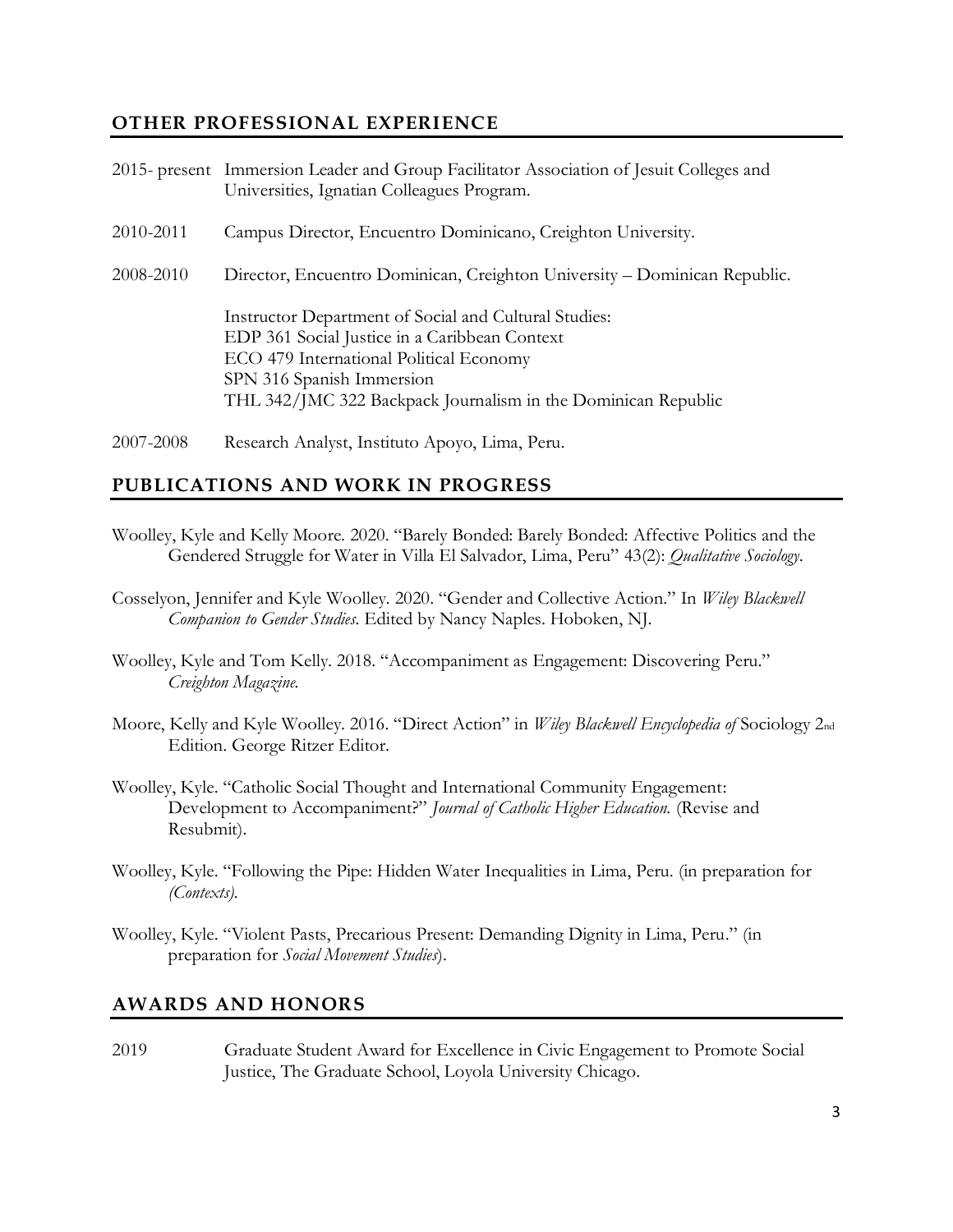### **OTHER PROFESSIONAL EXPERIENCE**

|           | 2015- present Immersion Leader and Group Facilitator Association of Jesuit Colleges and<br>Universities, Ignatian Colleagues Program.                                                                                                           |
|-----------|-------------------------------------------------------------------------------------------------------------------------------------------------------------------------------------------------------------------------------------------------|
| 2010-2011 | Campus Director, Encuentro Dominicano, Creighton University.                                                                                                                                                                                    |
| 2008-2010 | Director, Encuentro Dominican, Creighton University - Dominican Republic.                                                                                                                                                                       |
|           | Instructor Department of Social and Cultural Studies:<br>EDP 361 Social Justice in a Caribbean Context<br>ECO 479 International Political Economy<br>SPN 316 Spanish Immersion<br>THL 342/JMC 322 Backpack Journalism in the Dominican Republic |

2007-2008 Research Analyst, Instituto Apoyo, Lima, Peru.

### **PUBLICATIONS AND WORK IN PROGRESS**

- Woolley, Kyle and Kelly Moore. 2020. "Barely Bonded: Barely Bonded: Affective Politics and the Gendered Struggle for Water in Villa El Salvador, Lima, Peru" 43(2): *Qualitative Sociology*.
- Cosselyon, Jennifer and Kyle Woolley. 2020. "Gender and Collective Action." In *Wiley Blackwell Companion to Gender Studies.* Edited by Nancy Naples. Hoboken, NJ.
- Woolley, Kyle and Tom Kelly. 2018. "Accompaniment as Engagement: Discovering Peru." *Creighton Magazine.*
- Moore, Kelly and Kyle Woolley. 2016. "Direct Action" in *Wiley Blackwell Encyclopedia of* Sociology 2nd Edition. George Ritzer Editor.
- Woolley, Kyle. "Catholic Social Thought and International Community Engagement: Development to Accompaniment?" *Journal of Catholic Higher Education.* (Revise and Resubmit).
- Woolley, Kyle. "Following the Pipe: Hidden Water Inequalities in Lima, Peru. (in preparation for *(Contexts).*
- Woolley, Kyle. "Violent Pasts, Precarious Present: Demanding Dignity in Lima, Peru." (in preparation for *Social Movement Studies*).

### **AWARDS AND HONORS**

2019 Graduate Student Award for Excellence in Civic Engagement to Promote Social Justice, The Graduate School, Loyola University Chicago.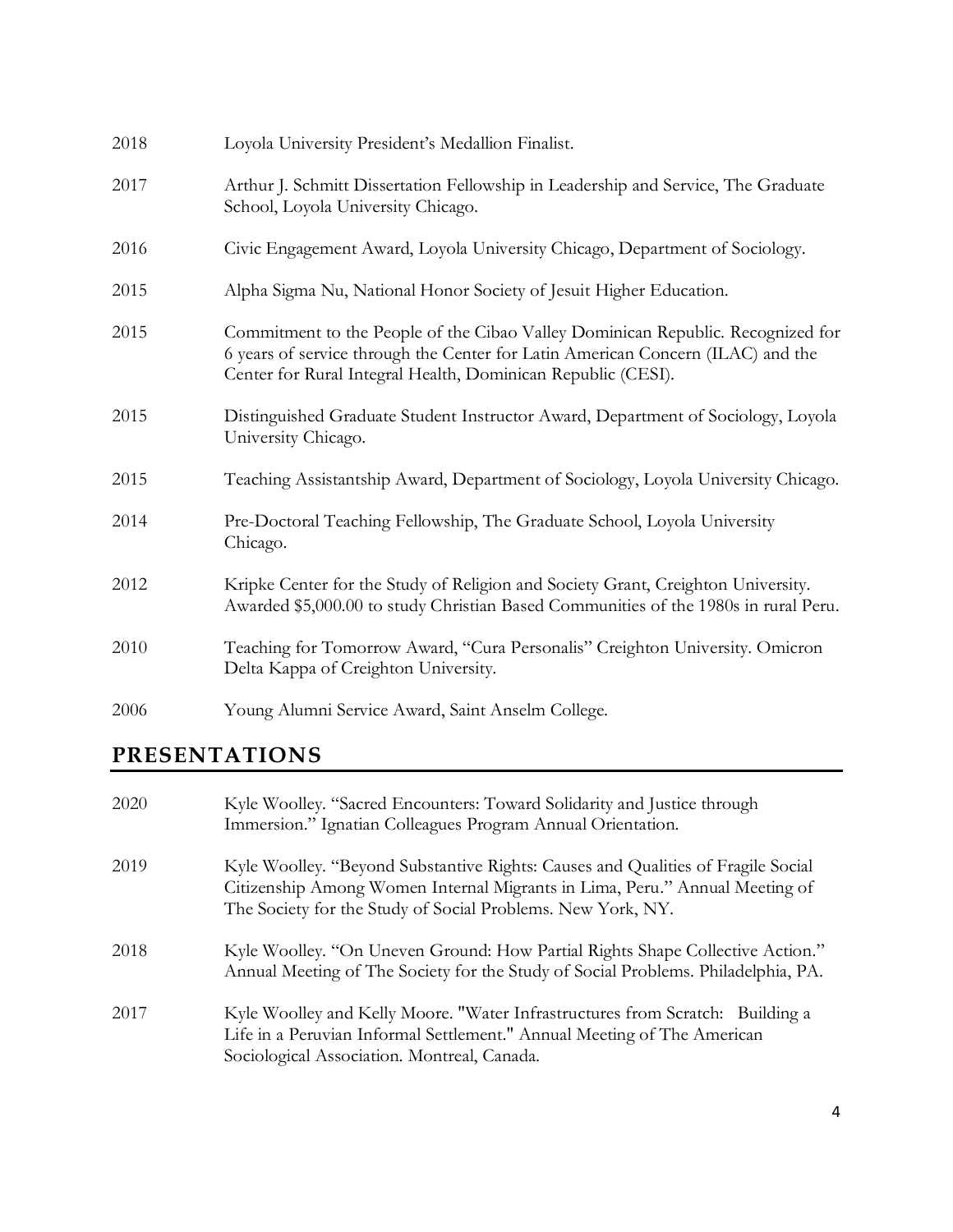| 2018 | Loyola University President's Medallion Finalist.                                                                                                                                                                                  |
|------|------------------------------------------------------------------------------------------------------------------------------------------------------------------------------------------------------------------------------------|
| 2017 | Arthur J. Schmitt Dissertation Fellowship in Leadership and Service, The Graduate<br>School, Loyola University Chicago.                                                                                                            |
| 2016 | Civic Engagement Award, Loyola University Chicago, Department of Sociology.                                                                                                                                                        |
| 2015 | Alpha Sigma Nu, National Honor Society of Jesuit Higher Education.                                                                                                                                                                 |
| 2015 | Commitment to the People of the Cibao Valley Dominican Republic. Recognized for<br>6 years of service through the Center for Latin American Concern (ILAC) and the<br>Center for Rural Integral Health, Dominican Republic (CESI). |
| 2015 | Distinguished Graduate Student Instructor Award, Department of Sociology, Loyola<br>University Chicago.                                                                                                                            |
| 2015 | Teaching Assistantship Award, Department of Sociology, Loyola University Chicago.                                                                                                                                                  |
| 2014 | Pre-Doctoral Teaching Fellowship, The Graduate School, Loyola University<br>Chicago.                                                                                                                                               |
| 2012 | Kripke Center for the Study of Religion and Society Grant, Creighton University.<br>Awarded \$5,000.00 to study Christian Based Communities of the 1980s in rural Peru.                                                            |
| 2010 | Teaching for Tomorrow Award, "Cura Personalis" Creighton University. Omicron<br>Delta Kappa of Creighton University.                                                                                                               |
| 2006 | Young Alumni Service Award, Saint Anselm College.                                                                                                                                                                                  |

# **PRESENTATIONS**

| 2020 | Kyle Woolley. "Sacred Encounters: Toward Solidarity and Justice through<br>Immersion." Ignatian Colleagues Program Annual Orientation.                                                                                         |
|------|--------------------------------------------------------------------------------------------------------------------------------------------------------------------------------------------------------------------------------|
| 2019 | Kyle Woolley. "Beyond Substantive Rights: Causes and Qualities of Fragile Social<br>Citizenship Among Women Internal Migrants in Lima, Peru." Annual Meeting of<br>The Society for the Study of Social Problems. New York, NY. |
| 2018 | Kyle Woolley. "On Uneven Ground: How Partial Rights Shape Collective Action."<br>Annual Meeting of The Society for the Study of Social Problems. Philadelphia, PA.                                                             |
| 2017 | Kyle Woolley and Kelly Moore. "Water Infrastructures from Scratch: Building a<br>Life in a Peruvian Informal Settlement." Annual Meeting of The American<br>Sociological Association. Montreal, Canada.                        |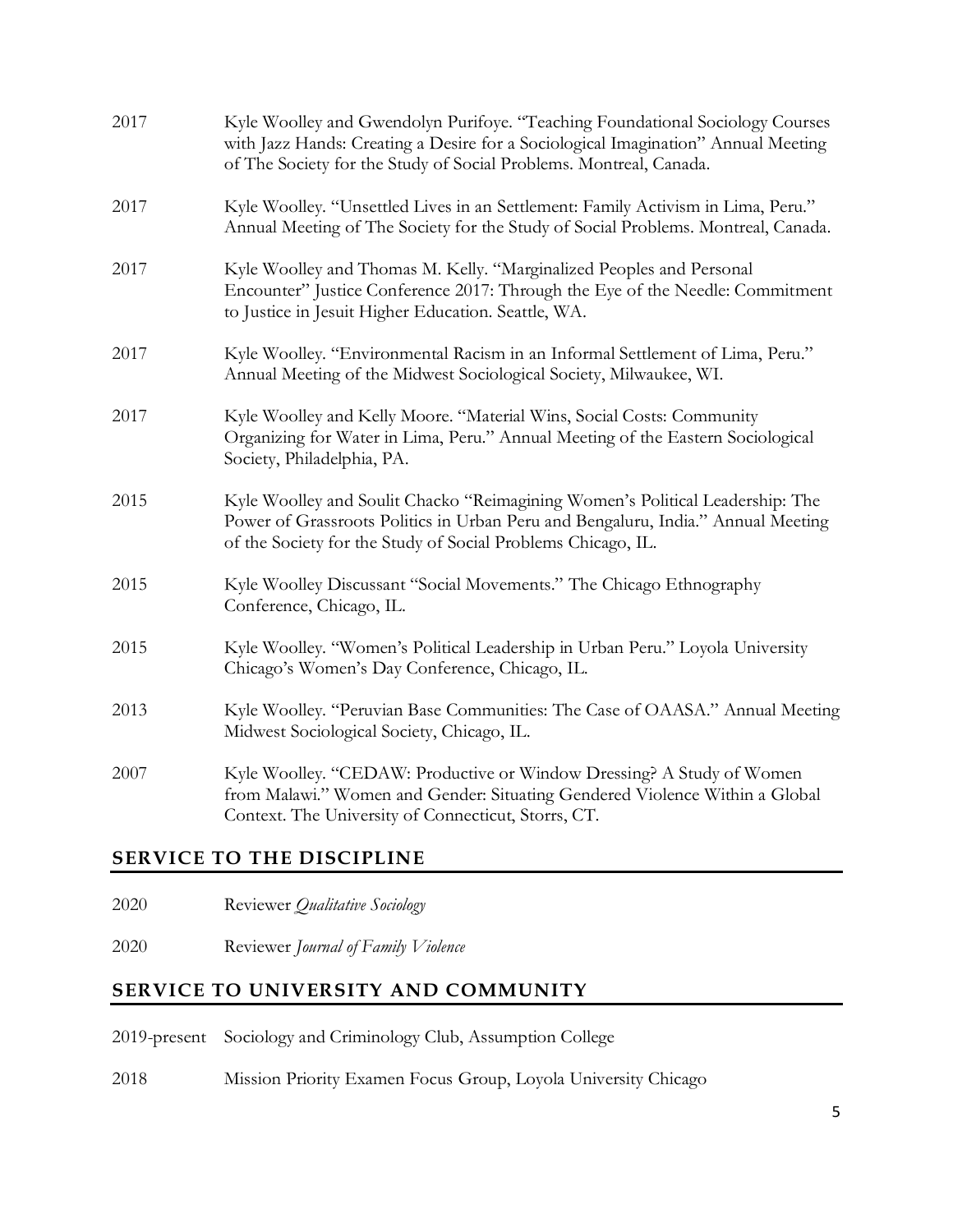| 2017 | Kyle Woolley and Gwendolyn Purifoye. "Teaching Foundational Sociology Courses<br>with Jazz Hands: Creating a Desire for a Sociological Imagination" Annual Meeting<br>of The Society for the Study of Social Problems. Montreal, Canada. |
|------|------------------------------------------------------------------------------------------------------------------------------------------------------------------------------------------------------------------------------------------|
| 2017 | Kyle Woolley. "Unsettled Lives in an Settlement: Family Activism in Lima, Peru."<br>Annual Meeting of The Society for the Study of Social Problems. Montreal, Canada.                                                                    |
| 2017 | Kyle Woolley and Thomas M. Kelly. "Marginalized Peoples and Personal<br>Encounter" Justice Conference 2017: Through the Eye of the Needle: Commitment<br>to Justice in Jesuit Higher Education. Seattle, WA.                             |
| 2017 | Kyle Woolley. "Environmental Racism in an Informal Settlement of Lima, Peru."<br>Annual Meeting of the Midwest Sociological Society, Milwaukee, WI.                                                                                      |
| 2017 | Kyle Woolley and Kelly Moore. "Material Wins, Social Costs: Community<br>Organizing for Water in Lima, Peru." Annual Meeting of the Eastern Sociological<br>Society, Philadelphia, PA.                                                   |
| 2015 | Kyle Woolley and Soulit Chacko "Reimagining Women's Political Leadership: The<br>Power of Grassroots Politics in Urban Peru and Bengaluru, India." Annual Meeting<br>of the Society for the Study of Social Problems Chicago, IL.        |
| 2015 | Kyle Woolley Discussant "Social Movements." The Chicago Ethnography<br>Conference, Chicago, IL.                                                                                                                                          |
| 2015 | Kyle Woolley. "Women's Political Leadership in Urban Peru." Loyola University<br>Chicago's Women's Day Conference, Chicago, IL.                                                                                                          |
| 2013 | Kyle Woolley. "Peruvian Base Communities: The Case of OAASA." Annual Meeting<br>Midwest Sociological Society, Chicago, IL.                                                                                                               |
| 2007 | Kyle Woolley. "CEDAW: Productive or Window Dressing? A Study of Women<br>from Malawi." Women and Gender: Situating Gendered Violence Within a Global<br>Context. The University of Connecticut, Storrs, CT.                              |

# **SERVICE TO THE DISCIPLINE**

| 2020 | Reviewer Qualitative Sociology |  |  |
|------|--------------------------------|--|--|
|------|--------------------------------|--|--|

2020 Reviewer *Journal of Family Violence* 

### **SERVICE TO UNIVERSITY AND COMMUNITY**

2019-present Sociology and Criminology Club, Assumption College

2018 Mission Priority Examen Focus Group, Loyola University Chicago